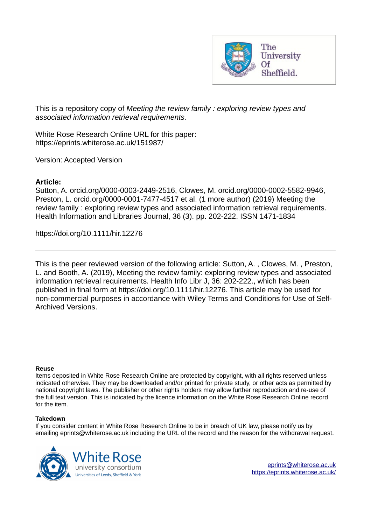

This is a repository copy of *Meeting the review family : exploring review types and associated information retrieval requirements*.

White Rose Research Online URL for this paper: https://eprints.whiterose.ac.uk/151987/

Version: Accepted Version

# **Article:**

Sutton, A. orcid.org/0000-0003-2449-2516, Clowes, M. orcid.org/0000-0002-5582-9946, Preston, L. orcid.org/0000-0001-7477-4517 et al. (1 more author) (2019) Meeting the review family : exploring review types and associated information retrieval requirements. Health Information and Libraries Journal, 36 (3). pp. 202-222. ISSN 1471-1834

https://doi.org/10.1111/hir.12276

This is the peer reviewed version of the following article: Sutton, A. , Clowes, M. , Preston, L. and Booth, A. (2019), Meeting the review family: exploring review types and associated information retrieval requirements. Health Info Libr J, 36: 202-222., which has been published in final form at https://doi.org/10.1111/hir.12276. This article may be used for non-commercial purposes in accordance with Wiley Terms and Conditions for Use of Self-Archived Versions.

#### **Reuse**

Items deposited in White Rose Research Online are protected by copyright, with all rights reserved unless indicated otherwise. They may be downloaded and/or printed for private study, or other acts as permitted by national copyright laws. The publisher or other rights holders may allow further reproduction and re-use of the full text version. This is indicated by the licence information on the White Rose Research Online record for the item.

## **Takedown**

If you consider content in White Rose Research Online to be in breach of UK law, please notify us by emailing eprints@whiterose.ac.uk including the URL of the record and the reason for the withdrawal request.

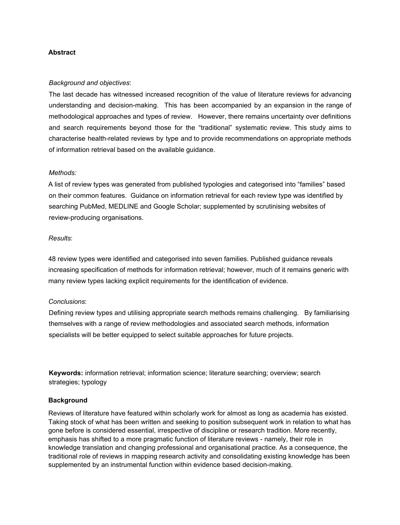#### **Abstract**

#### *Background and objectives*:

The last decade has witnessed increased recognition of the value of literature reviews for advancing understanding and decision-making. This has been accompanied by an expansion in the range of methodological approaches and types of review. However, there remains uncertainty over definitions and search requirements beyond those for the "traditional" systematic review. This study aims to characterise health-related reviews by type and to provide recommendations on appropriate methods of information retrieval based on the available guidance.

### *Methods:*

A list of review types was generated from published typologies and categorised into "families" based on their common features. Guidance on information retrieval for each review type was identified by searching PubMed, MEDLINE and Google Scholar; supplemented by scrutinising websites of review-producing organisations.

#### *Results*:

48 review types were identified and categorised into seven families. Published guidance reveals increasing specification of methods for information retrieval; however, much of it remains generic with many review types lacking explicit requirements for the identification of evidence.

#### *Conclusions*:

Defining review types and utilising appropriate search methods remains challenging. By familiarising themselves with a range of review methodologies and associated search methods, information specialists will be better equipped to select suitable approaches for future projects.

**Keywords:** information retrieval; information science; literature searching; overview; search strategies; typology

#### **Background**

Reviews of literature have featured within scholarly work for almost as long as academia has existed. Taking stock of what has been written and seeking to position subsequent work in relation to what has gone before is considered essential, irrespective of discipline or research tradition. More recently, emphasis has shifted to a more pragmatic function of literature reviews - namely, their role in knowledge translation and changing professional and organisational practice. As a consequence, the traditional role of reviews in mapping research activity and consolidating existing knowledge has been supplemented by an instrumental function within evidence based decision-making.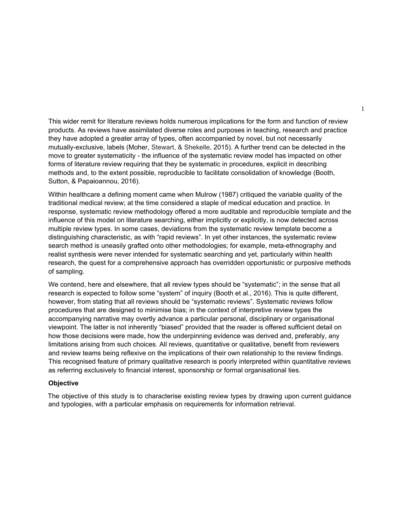This wider remit for literature reviews holds numerous implications for the form and function of review products. As reviews have assimilated diverse roles and purposes in teaching, research and practice they have adopted a greater array of types, often accompanied by novel, but not necessarily mutually-exclusive, labels (Moher, Stewart, & Shekelle, 2015). A further trend can be detected in the move to greater systematicity - the influence of the systematic review model has impacted on other forms of literature review requiring that they be systematic in procedures, explicit in describing methods and, to the extent possible, reproducible to facilitate consolidation of knowledge (Booth, Sutton, & Papaioannou, 2016).

Within healthcare a defining moment came when Mulrow (1987) critiqued the variable quality of the traditional medical review; at the time considered a staple of medical education and practice. In response, systematic review methodology offered a more auditable and reproducible template and the influence of this model on literature searching, either implicitly or explicitly, is now detected across multiple review types. In some cases, deviations from the systematic review template become a distinguishing characteristic, as with "rapid reviews". In yet other instances, the systematic review search method is uneasily grafted onto other methodologies; for example, meta-ethnography and realist synthesis were never intended for systematic searching and yet, particularly within health research, the quest for a comprehensive approach has overridden opportunistic or purposive methods of sampling.

We contend, here and elsewhere, that all review types should be "systematic"; in the sense that all research is expected to follow some "system" of inquiry (Booth et al., 2016). This is quite different, however, from stating that all reviews should be "systematic reviews". Systematic reviews follow procedures that are designed to minimise bias; in the context of interpretive review types the accompanying narrative may overtly advance a particular personal, disciplinary or organisational viewpoint. The latter is not inherently "biased" provided that the reader is offered sufficient detail on how those decisions were made, how the underpinning evidence was derived and, preferably, any limitations arising from such choices. All reviews, quantitative or qualitative, benefit from reviewers and review teams being reflexive on the implications of their own relationship to the review findings. This recognised feature of primary qualitative research is poorly interpreted within quantitative reviews as referring exclusively to financial interest, sponsorship or formal organisational ties.

#### **Objective**

The objective of this study is to characterise existing review types by drawing upon current guidance and typologies, with a particular emphasis on requirements for information retrieval.

1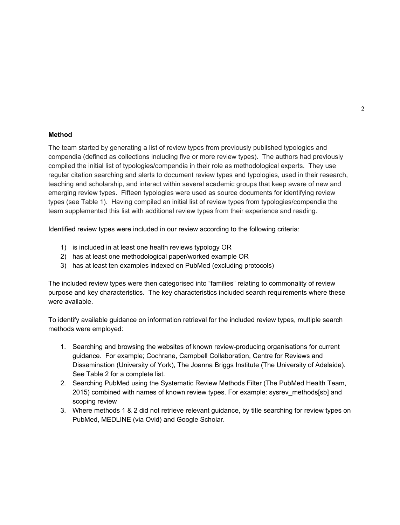#### **Method**

The team started by generating a list of review types from previously published typologies and compendia (defined as collections including five or more review types). The authors had previously compiled the initial list of typologies/compendia in their role as methodological experts. They use regular citation searching and alerts to document review types and typologies, used in their research, teaching and scholarship, and interact within several academic groups that keep aware of new and emerging review types. Fifteen typologies were used as source documents for identifying review types (see Table 1). Having compiled an initial list of review types from typologies/compendia the team supplemented this list with additional review types from their experience and reading.

Identified review types were included in our review according to the following criteria:

- 1) is included in at least one health reviews typology OR
- 2) has at least one methodological paper/worked example OR
- 3) has at least ten examples indexed on PubMed (excluding protocols)

The included review types were then categorised into "families" relating to commonality of review purpose and key characteristics. The key characteristics included search requirements where these were available.

To identify available guidance on information retrieval for the included review types, multiple search methods were employed:

- 1. Searching and browsing the websites of known review-producing organisations for current guidance. For example; Cochrane, Campbell Collaboration, Centre for Reviews and Dissemination (University of York), The Joanna Briggs Institute (The University of Adelaide). See Table 2 for a complete list.
- 2. Searching PubMed using the Systematic Review Methods Filter (The PubMed Health Team, 2015) combined with names of known review types. For example: sysrev\_methods[sb] and scoping review
- 3. Where methods 1 & 2 did not retrieve relevant guidance, by title searching for review types on PubMed, MEDLINE (via Ovid) and Google Scholar.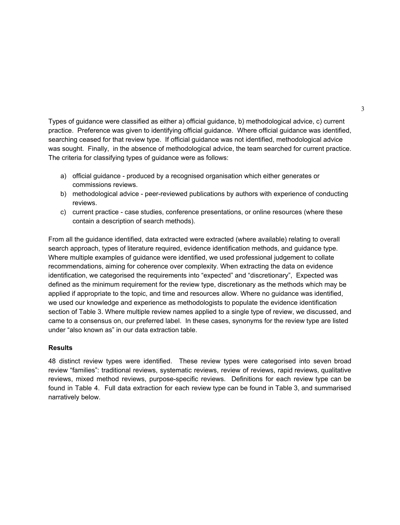Types of guidance were classified as either a) official guidance, b) methodological advice, c) current practice. Preference was given to identifying official guidance. Where official guidance was identified, searching ceased for that review type. If official guidance was not identified, methodological advice was sought. Finally, in the absence of methodological advice, the team searched for current practice. The criteria for classifying types of guidance were as follows:

- a) official guidance produced by a recognised organisation which either generates or commissions reviews.
- b) methodological advice peer-reviewed publications by authors with experience of conducting reviews.
- c) current practice case studies, conference presentations, or online resources (where these contain a description of search methods).

From all the guidance identified, data extracted were extracted (where available) relating to overall search approach, types of literature required, evidence identification methods, and guidance type. Where multiple examples of guidance were identified, we used professional judgement to collate recommendations, aiming for coherence over complexity. When extracting the data on evidence identification, we categorised the requirements into "expected" and "discretionary", Expected was defined as the minimum requirement for the review type, discretionary as the methods which may be applied if appropriate to the topic, and time and resources allow. Where no guidance was identified, we used our knowledge and experience as methodologists to populate the evidence identification section of Table 3. Where multiple review names applied to a single type of review, we discussed, and came to a consensus on, our preferred label. In these cases, synonyms for the review type are listed under "also known as" in our data extraction table.

#### **Results**

48 distinct review types were identified. These review types were categorised into seven broad review "families": traditional reviews, systematic reviews, review of reviews, rapid reviews, qualitative reviews, mixed method reviews, purpose-specific reviews. Definitions for each review type can be found in Table 4. Full data extraction for each review type can be found in Table 3, and summarised narratively below.

3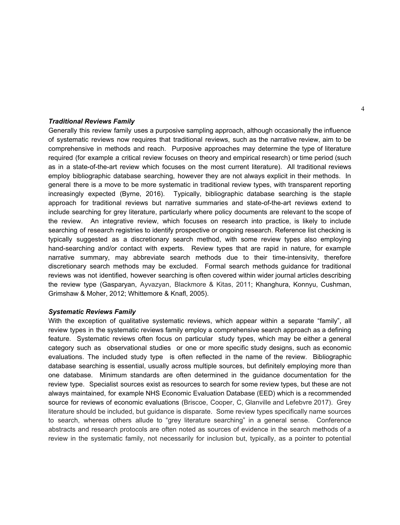#### *Traditional Reviews Family*

Generally this review family uses a purposive sampling approach, although occasionally the influence of systematic reviews now requires that traditional reviews, such as the narrative review, aim to be comprehensive in methods and reach. Purposive approaches may determine the type of literature required (for example a critical review focuses on theory and empirical research) or time period (such as in a state-of-the-art review which focuses on the most current literature). All traditional reviews employ bibliographic database searching, however they are not always explicit in their methods. In general there is a move to be more systematic in traditional review types, with transparent reporting increasingly expected (Byrne, 2016). Typically, bibliographic database searching is the staple approach for traditional reviews but narrative summaries and state-of -the-art reviews extend to include searching for grey literature, particularly where policy documents are relevant to the scope of the review. An integrative review, which focuses on research into practice, is likely to include searching of research registries to identify prospective or ongoing research. Reference list checking is typically suggested as a discretionary search method, with some review types also employing hand-searching and/or contact with experts. Review types that are rapid in nature, for example narrative summary, may abbreviate search methods due to their time-intensivity, therefore discretionary search methods may be excluded. Formal search methods guidance for traditional reviews was not identified, however searching is often covered within wider journal articles describing the review type (Gasparyan, Ayvazyan, Blackmore & Kitas, 2011 ; Khanghura, Konnyu, Cushman, Grimshaw & Moher, 2012; Whittemore & Knafl, 2005).

#### *Systematic Reviews Family*

With the exception of qualitative systematic reviews, which appear within a separate "family", all review types in the systematic reviews family employ a comprehensive search approach as a defining feature. Systematic reviews often focus on particular study types, which may be either a general category such as observational studies or one or more specific study designs, such as economic evaluations. The included study type is often reflected in the name of the review. Bibliographic database searching is essential, usually across multiple sources, but definitely employing more than one database. Minimum standards are often determined in the guidance documentation for the review type. Specialist sources exist as resources to search for some review types, but these are not always maintained, for example NHS Economic Evaluation Database (EED) which is a recommended source for reviews of economic evaluations (Briscoe, Cooper, C, Glanville and Lefebvre 2017). Grey literature should be included, but guidance is disparate. Some review types specifically name sources to search, whereas others allude to "grey literature searching" in a general sense. Conference abstracts and research protocols are often noted as sources of evidence in the search methods of a review in the systematic family, not necessarily for inclusion but, typically, as a pointer to potential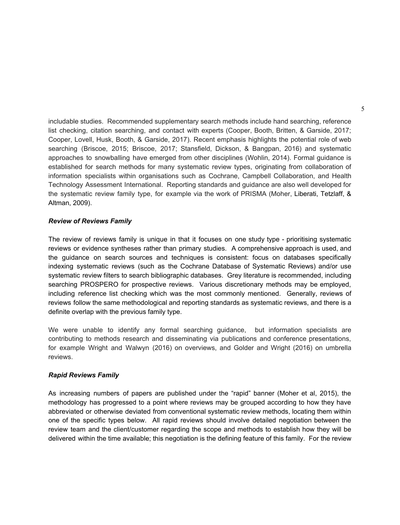includable studies. Recommended supplementary search methods include hand searching, reference list checking, citation searching, and contact with experts (Cooper, Booth, Britten, & Garside, 2017; Cooper, Lovell, Husk, Booth, & Garside, 2017). Recent emphasis highlights the potential role of web searching (Briscoe, 2015; Briscoe, 2017; Stansfield, Dickson, & Bangpan, 2016) and systematic approaches to snowballing have emerged from other disciplines (Wohlin, 2014). Formal quidance is established for search methods for many systematic review types, originating from collaboration of information specialists within organisations such as Cochrane, Campbell Collaboration, and Health Technology Assessment International. Reporting standards and guidance are also well developed for the systematic review family type, for example via the work of PRISMA (Moher, Liberati, Tetzlaff, & Altman, 2009).

#### *Review of Reviews Family*

The review of reviews family is unique in that it focuses on one study type - prioritising systematic reviews or evidence syntheses rather than primary studies. A comprehensive approach is used, and the quidance on search sources and techniques is consistent: focus on databases specifically indexing systematic reviews (such as the Cochrane Database of Systematic Reviews) and/or use systematic review filters to search bibliographic databases. Grey literature is recommended, including searching PROSPERO for prospective reviews. Various discretionary methods may be employed, including reference list checking which was the most commonly mentioned. Generally, reviews of reviews follow the same methodological and reporting standards as systematic reviews, and there is a definite overlap with the previous family type.

We were unable to identify any formal searching guidance, but information specialists are contributing to methods research and disseminating via publications and conference presentations, for example Wright and Walwyn (2016) on overviews, and Golder and Wright (2016) on umbrella reviews.

#### *Rapid Reviews Family*

As increasing numbers of papers are published under the "rapid" banner (Moher et al, 2015), the methodology has progressed to a point where reviews may be grouped according to how they have abbreviated or otherwise deviated from conventional systematic review methods, locating them within one of the specific types below. All rapid reviews should involve detailed negotiation between the review team and the client/customer regarding the scope and methods to establish how they will be delivered within the time available; this negotiation is the defining feature of this family. For the review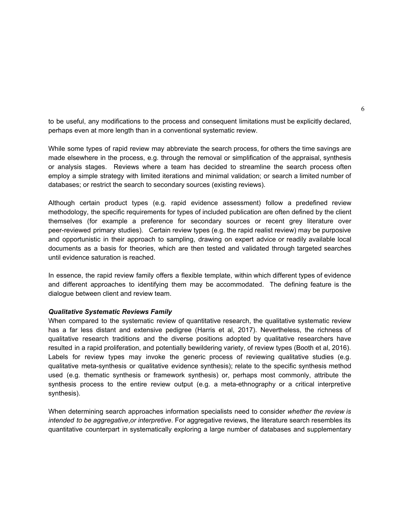to be useful, any modifications to the process and consequent limitations must be explicitly declared, perhaps even at more length than in a conventional systematic review.

While some types of rapid review may abbreviate the search process, for others the time savings are made elsewhere in the process, e.g. through the removal or simplification of the appraisal, synthesis or analysis stages. Reviews where a team has decided to streamline the search process often employ a simple strategy with limited iterations and minimal validation; or search a limited number of databases; or restrict the search to secondary sources (existing reviews).

Although certain product types (e.g. rapid evidence assessment) follow a predefined review methodology, the specific requirements for types of included publication are often defined by the client themselves (for example a preference for secondary sources or recent grey literature over peer-reviewed primary studies). Certain review types (e.g. the rapid realist review) may be purposive and opportunistic in their approach to sampling, drawing on expert advice or readily available local documents as a basis for theories, which are then tested and validated through targeted searches until evidence saturation is reached.

In essence, the rapid review family offers a flexible template, within which different types of evidence and different approaches to identifying them may be accommodated. The defining feature is the dialogue between client and review team.

#### *Qualitative Systematic Reviews Family*

When compared to the systematic review of quantitative research, the qualitative systematic review has a far less distant and extensive pedigree (Harris et al, 2017). Nevertheless, the richness of qualitative research traditions and the diverse positions adopted by qualitative researchers have resulted in a rapid proliferation, and potentially bewildering variety, of review types (Booth et al, 2016). Labels for review types may invoke the generic process of reviewing qualitative studies (e.g. qualitative meta-synthesis or qualitative evidence synthesis); relate to the specific synthesis method used (e.g. thematic synthesis or framework synthesis) or, perhaps most commonly, attribute the synthesis process to the entire review output (e.g. a meta-ethnography or a critical interpretive synthesis).

When determining search approaches information specialists need to consider *whether the review is intended to be aggregative* ,*or interpretive*. For aggregative reviews, the literature search resembles its quantitative counterpart in systematically exploring a large number of databases and supplementary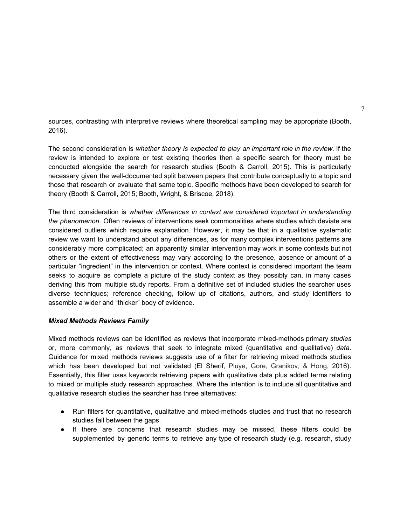sources, contrasting with interpretive reviews where theoretical sampling may be appropriate (Booth, 2016).

The second consideration is *whether theory is expected to play an important role in the review* . If the review is intended to explore or test existing theories then a specific search for theory must be conducted alongside the search for research studies (Booth & Carroll, 2015). This is particularly necessary given the well-documented split between papers that contribute conceptually to a topic and those that research or evaluate that same topic. Specific methods have been developed to search for theory (Booth & Carroll, 2015; Booth, Wright, & Briscoe, 2018).

The third consideration is *whether differences in context are considered important in understanding the phenomenon*. Often reviews of interventions seek commonalities where studies which deviate are considered outliers which require explanation. However, it may be that in a qualitative systematic review we want to understand about any differences, as for many complex interventions patterns are considerably more complicated; an apparently similar intervention may work in some contexts but not others or the extent of effectiveness may vary according to the presence, absence or amount of a particular "ingredient" in the intervention or context. Where context is considered important the team seeks to acquire as complete a picture of the study context as they possibly can, in many cases deriving this from multiple study reports. From a definitive set of included studies the searcher uses diverse techniques; reference checking, follow up of citations, authors, and study identifiers to assemble a wider and "thicker" body of evidence.

#### *Mixed Methods Reviews Family*

Mixed methods reviews can be identified as reviews that incorporate mixed-methods primary *studies* or, more commonly, as reviews that seek to integrate mixed (quantitative and qualitative) *data*. Guidance for mixed methods reviews suggests use of a filter for retrieving mixed methods studies which has been developed but not validated (El Sherif, Pluye, Gore, Granikov, & Hong, 2016). Essentially, this filter uses keywords retrieving papers with qualitative data plus added terms relating to mixed or multiple study research approaches. Where the intention is to include all quantitative and qualitative research studies the searcher has three alternatives:

- Run filters for quantitative, qualitative and mixed-methods studies and trust that no research studies fall between the gaps.
- If there are concerns that research studies may be missed, these filters could be supplemented by generic terms to retrieve any type of research study (e .g. research, study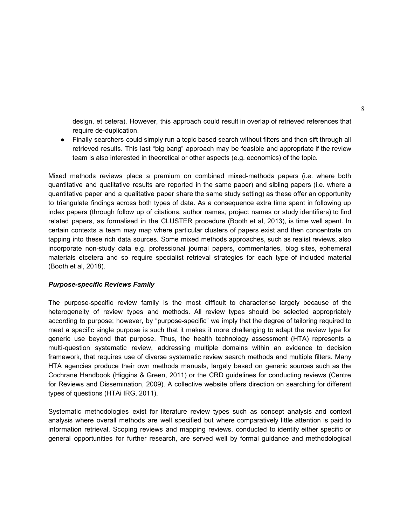design, et cetera). However, this approach could result in overlap of retrieved references that require de-duplication.

• Finally searchers could simply run a topic based search without filters and then sift through all retrieved results. This last "big bang" approach may be feasible and appropriate if the review team is also interested in theoretical or other aspects (e.g. economics) of the topic.

Mixed methods reviews place a premium on combined mixed-methods papers (i.e. where both quantitative and qualitative results are reported in the same paper) and sibling papers (i.e. where a quantitative paper and a qualitative paper share the same study setting) as these offer an opportunity to triangulate findings across both types of data. As a consequence extra time spent in following up index papers (through follow up of citations, author names, project names or study identifiers) to find related papers, as formalised in the CLUSTER procedure (Booth et al, 2013), is time well spent. In certain contexts a team may map where particular clusters of papers exist and then concentrate on tapping into these rich data sources. Some mixed methods approaches, such as realist reviews, also incorporate non-study data e.g. professional journal papers, commentaries, blog sites, ephemeral materials etcetera and so require specialist retrieval strategies for each type of included material (Booth et al, 2018).

#### *Purpose-specific Reviews Family*

The purpose-specific review family is the most difficult to characterise largely because of the heterogeneity of review types and methods. All review types should be selected appropriately according to purpose; however, by "purpose-specific" we imply that the degree of tailoring required to meet a specific single purpose is such that it makes it more challenging to adapt the review type for generic use beyond that purpose. Thus, the health technology assessment (HTA) represents a multi-question systematic review, addressing multiple domains within an evidence to decision framework, that requires use of diverse systematic review search me thods and multiple filters. Many HTA agencies produce their own methods manuals, largely based on generic sources such as the Cochrane Handbook (Higgins & Green, 2011) or the CRD guidelines for conducting reviews (Centre for Reviews and Dissemination, 2009). A collective website offers direction on searching for different types of questions (HTAi IRG, 2011).

Systematic methodologies exist for literature review types such as concept analysis and context analysis where overall methods are well specified but where comparatively little attention is paid to information retrieval. Scoping reviews and mapping reviews, conducted to identify either specific or general opportunities for further research, are served well by formal guidance and methodological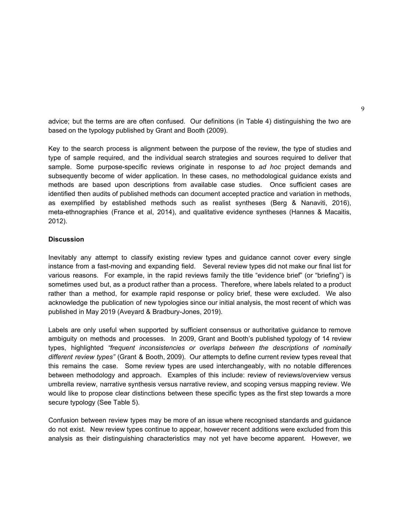advice; but the terms are are often confused. Our definitions (in Table 4) distinguishing the two are based on the typology published by Grant and Booth (2009).

Key to the search process is alignment between the purpose of the review, the type of studies and type of sample required, and the individual search strategies and sources required to deliver that sample. Some purpose-specific reviews originate in response to *ad hoc* project demands and subsequently become of wider application. In these cases, no methodological guidance exists and methods are based upon descriptions from available case studies. Once sufficient cases are identified then audits of published methods can document accepted practice and variation in methods, as exemplified by established methods such as realist syntheses (Berg & Nanaviti, 2016), meta-ethnographies (France et al, 2014), and qualitative evidence syntheses (Hannes & Macaitis, 2012).

### **Discussion**

Inevitably any attempt to classify existing review types and quidance cannot cover every single instance from a fast-moving and expanding field. Several review types did not make our final list for various reasons. For example, in the rapid reviews family the title "evidence brief" (or "briefing") is sometimes used but, as a product rather than a process. Therefore, where labels related to a product rather than a method, for example rapid response or policy brief, these were excluded. We also acknowledge the publication of new typologies since our initial analysis, the most recent of which was published in May 2019 (Aveyard & Bradbury-Jones, 2019).

Labels are only useful when supported by sufficient consensus or authoritative guidance to remove ambiguity on methods and processes. In 2009, Grant and Booth's published typology of 14 review types, highlighted *"frequent inconsistencies or overlaps between the descriptions of nominally different review types"* (Grant & Booth, 2009). Our attempts to define current review types reveal that this remains the case. Some review types are used interchangeably, with no notable differences between methodology and approach. Examples of this include: review of reviews/overview versus umbrella review, narrative synthesis versus narrative review, and scoping versus mapping review. We would like to propose clear distinctions between these specific types as the first step towards a more secure typology (See Table 5).

Confusion between review types may be more of an issue where recognised standards and guidance do not exist. New review types continue to appear, however recent additions were excluded from this analysis as their distinguishing characteristics may not yet have become apparent. However, we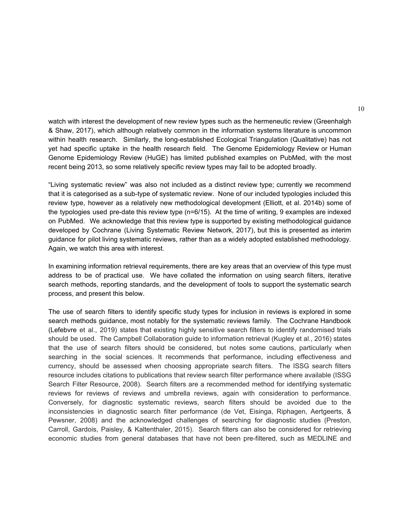watch with interest the development of new review types such as the hermeneutic review (Greenhalgh & Shaw, 2017), which although relatively common in the information systems literature is uncommon within health research. Similarly, the long-established Ecological Triangulation (Qualitative) has not yet had specific uptake in the health research field. The Genome Epidemiology Review or Human Genome Epidemiology Review (HuGE) has limited published examples on PubMed, with the most recent being 2013, so some relatively specific review types may fail to be adopted broadly.

"Living systematic review" was also not included as a distinct review type; currently we recommend that it is categorised as a sub-type of systematic review. None of our included typologies included this review type, however as a relatively new methodological development (Elliott, et al. 2014b) some of the typologies used pre-date this review type  $(n=6/15)$ . At the time of writing, 9 examples are indexed on PubMed. We acknowledge that this review type is supported by existing methodological guidance developed by Cochrane (Living Systematic Review Network, 2017), but this is presented as interim quidance for pilot living systematic reviews, rather than as a widely adopted established methodology. Again, we watch this area with interest.

In examining information retrieval requirements, there are key areas that an overview of this type must address to be of practical use. We have collated the information on using search filters, iterative search methods, reporting standards, and the development of tools to support the systematic search process, and present this below.

The use of search filters to identify specific study types for inclusion in reviews is explored in some search methods guidance, most notably for the systematic reviews family. The Cochrane Handbook (Lefebvre et al., 2019) states that existing highly sensitive search filters to identify randomised trials should be used. The Campbell Collaboration guide to information retrieval (Kugley et al., 2016) states that the use of search filters should be considered, but notes some cautions, particularly when searching in the social sciences. It recommends that performance, including effectiveness and currency, should be assessed when choosing appropriate search filters . The ISSG search filters resource includes citations to publications that review search filter performance where available (ISSG Search Filter Resource, 2008). Search filters are a recommended method for identifying systematic reviews for reviews of reviews and umbrella reviews, again with consideration to performance. Conversely, for diagnostic systematic reviews, search filters should be avoided due to the inconsistencies in diagnostic search filter performance (de Vet, Eisinga, Riphagen, Aertgeerts, & Pewsner, 2008) and the acknowledged challenges of searching for diagnostic studies (Preston, Carroll, Gardois, Paisley, & Kaltenthaler, 2015). Search filters can also be considered for retrieving economic studies from general databases that have not been pre-filtered, such as MEDLINE and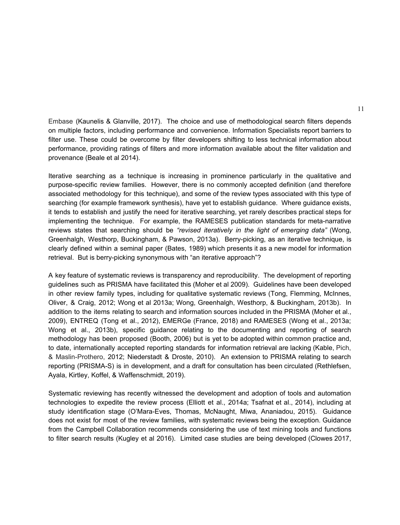Embase (Kaunelis & Glanville, 2017). The choice and use of methodological search filters depends on multiple factors, including performance and convenience. Information Specialists report barriers to filter use. These could be overcome by filter developers shifting to less technical information about performance, providing ratings of filters and more information available about the filter validation and provenance (Beale et al 2014).

Iterative searching as a technique is increasing in prominence particularly in the qualitative and purpose-specific review families. However, there is no commonly accepted definition (and therefore associated methodology for this technique), and some of the review types associated with this type of searching (for example framework synthesis), have yet to establish quidance. Where quidance exists, it tends to establish and justify the need for iterative searching, yet rarely describes practical steps for implementing the technique. For example, the RAMESES publication standards for meta-narrative reviews states that searching should be *"revised iteratively in the light of emerging data"* (Wong, Greenhalgh, Westhorp, Buckingham, & Pawson, 2013a). Berry-picking, as an iterative technique, is clearly defined within a seminal paper (Bates, 1989) which presents it as a new model for information retrieval. But is berry-picking synonymous with "an iterative approach"?

A key feature of systematic reviews is transparency and reproducibility. The development of reporting guidelines such as PRISMA have facilitated this (Moher et al 2009). Guidelines have been developed in other review family types, including for qualitative systematic reviews (Tong, Flemming, McInnes, Oliver, & Craig, 2012; Wong et al 2013a; Wong, Greenhalgh, Westhorp, & Buckingham, 2013b). In addition to the items relating to search and information sources included in the PRISMA (Moher et al., 2009), ENTREQ (Tong et al., 2012), EMERGe (France, 2018) and RAMESES (Wong et al., 2013a; Wong et al., 2013b), specific guidance relating to the documenting and reporting of search methodology has been proposed (Booth, 2006) but is yet to be adopted within common practice and, to date, internationally accepted reporting standards for information retrieval are lacking (Kable, Pich, & Maslin-Prothero, 2012; Niederstadt & Droste, 2010). An extension to PRISMA relating to search reporting (PRISMA-S) is in development, and a draft for consultation has been circulated (Rethlefsen, Ayala, Kirtley, Koffel, & Waffenschmidt, 2019).

Systematic reviewing has recently witnessed the development and adoption of tools and automation technologies to expedite the review process (Elliott et al., 2 014a; Tsafnat et al., 2014), including at study identification stage (O'Mara-Eves, Thomas, McNaught, Miwa, Ananiadou, 2015). Guidance does not exist for most of the review families, with systematic reviews being the exception. Guidance from the Campbell Collaboration recommends considering the use of text mining tools and functions to filter search results (Kugley et al 2016). Limited case studies are being developed (Clowes 2017,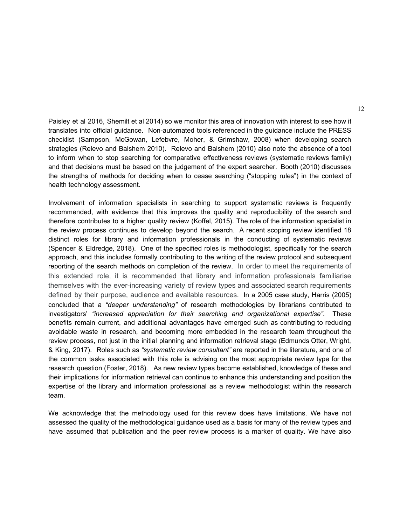Paisley et al 2016, Shemilt et al 2014) so we monitor this area of innovation with interest to see how it translates into official guidance. Non-automated tools referenced in the guidance include the PRESS checklist (Sampson, McGowan, Lefebvre, Moher, & Grimshaw, 2008) when developing search strategies (Relevo and Balshem 2010). Relevo and Balshem (2010) also note the absence of a tool to inform when to stop searching for comparative effectiveness reviews (systematic reviews family) and that decisions must be based on the judgement of the expert searcher. Booth (2010) discusses the strengths of methods for deciding when to cease searching ("stopping rules") in the context of health technology assessment.

Involvement of information specialists in searching to support systematic reviews is frequently recommended, with evidence that this improves the quality and reproducibility of the search and therefore contributes to a higher quality review (Koffel, 2015). The role of the information specialist in the review process continues to develop beyond the search. A recent scoping review identified 18 distinct roles for library and information professionals in the conducting of systematic reviews (Spencer & Eldredge, 2018). One of the specified roles is methodologist, specifically for the search approach, and this includes formally contributing to the writing of the review protocol and subsequent reporting of the search methods on completion of the review. In order to meet the requirements of this extended role, it is recommended that library and information professionals familiarise themselves with the ever-increasing variety of review types and associated search requirements defined by their purpose, audience and available resources . In a 2005 case study, Harris (2005) concluded that a *"deeper understanding"* of research methodologies by librarians contributed to investigators' "increased appreciation for their searching and organizational expertise". These benefits remain current, and additional advantages have emerged such as contributing to reducing avoidable waste in research, and becoming more embedded in the research team throughout the review process, not just in the initial planning and information retrieval stage (Edmunds Otter, Wright, & King, 2017). Roles such as *"systematic review consultant"* are reported in the literature, and one of the common tasks associated with this role is advising on the most appropriate review type for the research question (Foster, 2018). As new review types become established, knowledge of these and their implications for information retrieval can continue to enhance this understanding and position the expertise of the library and information professional as a review methodologist within the research team.

We acknowledge that the methodology used for this review does have limitations. We have not assessed the quality of the methodological guidance used as a basis for many of the review types and have assumed that publication and the peer review process is a marker of quality. We have also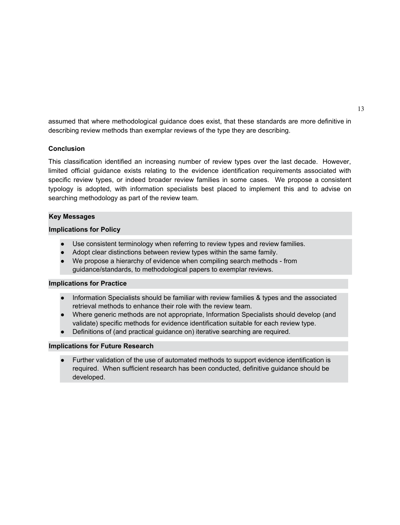assumed that where methodological guidance does exist, that these standards are more definitive in describing review methods than exemplar reviews of the type they are describing.

## **Conclusion**

This classification identified an increasing number of review types over the last decade. However, limited official guidance exists relating to the evidence identification requirements associated with specific review types, or indeed broader review families in some cases. We propose a consistent typology is adopted, with information specialists best placed to implement this and to advise on searching methodology as part of the review team.

## **Key Messages**

### **Implications for Policy**

- Use consistent terminology when referring to review types and review families.
- Adopt clear distinctions between review types within the same family.
- We propose a hierarchy of evidence when compiling search methods from guidance/standards, to methodological papers to exemplar reviews.

#### **Implications for Practice**

- Information Specialists should be familiar with review families & types and the associated retrieval methods to enhance their role with the review team.
- Where generic methods are not appropriate, Information Specialists should develop (and validate) specific methods for evidence identification suitable for each review type.
- Definitions of (and practical guidance on) iterative searching are required.

#### **Implications for Future Research**

Further validation of the use of automated methods to support evidence identification is required. When sufficient research has been conducted, definitive guidance should be developed.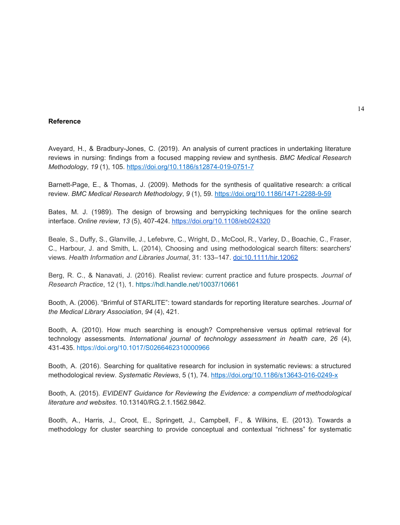#### **Reference**

Aveyard, H., & Bradbury-Jones, C. (2019). An analysis of current practices in undertaking literature reviews in nursing: findings from a focused mapping review and synthesis. *BMC Medical Research Methodology*, *19* (1), 105. <https://doi.org/10.1186/s12874-019-0751-7>

Barnett-Page, E., & Thomas, J. (2009). Methods for the synthesis of qualitative research: a critical review. *BMC Medical Research Methodology*, *9* (1), 59.<https://doi.org/10.1186/1471-2288-9-59>

Bates, M. J. (1989). The design of browsing and berrypicking techniques for the online search interface. *Online review*, *13* (5), 407-424.<https://doi.org/10.1108/eb024320>

Beale, S., Duffy, S., Glanville, J., Lefebvre, C., Wright, D., McCool, R., Varley, D., Boachie, C., Fraser, C., Harbour, J. and Smith, L. (2014), Choosing and using methodological search filters: searchers' views. *Health Information and Libraries Journal*, 31: 133–147. [doi:10.1111/hir.12062](https://doi.org/10.1111/hir.12062)

Berg, R. C., & Nanavati, J. (2016). Realist review: current practice and future prospects. *Journal of Research Practice*, 12 (1), 1.<https://hdl.handle.net/10037/10661>

Booth, A. (2006). "Brimful of STARLITE": toward standards for reporting literature searches. *Journal of the Medical Library Association*, *94* (4), 421.

Booth, A. (2010). How much searching is enough? Comprehensive versus optimal retrieval for technology assessments. *International journal of technology assessment in health care, 26 (4),* 431-435.<https://doi.org/10.1017/S0266462310000966>

Booth, A. (2016). Searching for qualitative research for inclusion in systematic reviews: a structured methodological review. *Systematic Reviews*, 5 (1), 74. <https://doi.org/10.1186/s13643-016-0249-x>

Booth, A. (2015). *EVIDENT Guidance for Reviewing the Evidence: a compendium of methodological literature and websites*. 10.13140/RG.2.1.1562.9842.

Booth, A., Harris, J., Croot, E., Springett, J., Campbell, F., & Wilkins, E. (2013). Towards a methodology for cluster searching to provide conceptual and contextual "richness" for systematic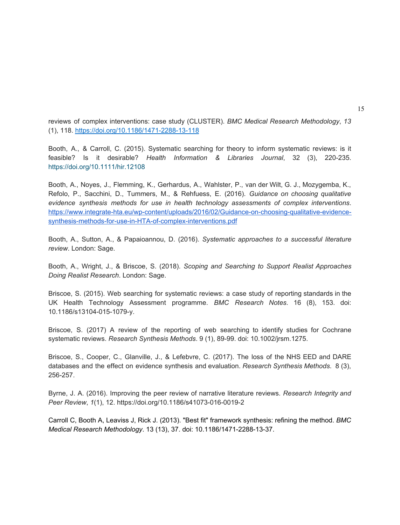reviews of complex interventions: case study (CLUSTER). *BMC Medical Research Methodology* , *13* (1), 118.<https://doi.org/10.1186/1471-2288-13-118>

Booth, A., & Carroll, C. (2015). Systematic searching for theory to inform systematic reviews: is it feasible? Is it desirable? *Health Information & Libraries Journal* , 32 (3), 220-235. <https://doi.org/10.1111/hir.12108>

Booth, A., Noyes, J., Flemming, K., Gerhardus, A., Wahlster, P., van der Wilt, G. J., Mozygemba, K., Refolo, P., Sacchini, D., Tummers, M., & Rehfuess, E. (2016). *Guidance on choosing qualitative evidence synthesis methods for use in health technology asse ssments of complex interventions*. [https://www.integrate-hta.eu/wp-content/uploads/2016/02/Guidance-on-choosing-qualitative-evidence](https://www.integrate-hta.eu/wp-content/uploads/2016/02/Guidance-on-choosing-qualitative-evidence-synthesis-methods-for-use-in-HTA-of-complex-interventions.pdf)[synthesis-methods-for-use-in-HTA-of-complex-interventions.pdf](https://www.integrate-hta.eu/wp-content/uploads/2016/02/Guidance-on-choosing-qualitative-evidence-synthesis-methods-for-use-in-HTA-of-complex-interventions.pdf) 

Booth, A., Sutton, A., & Papaioannou, D. (2016). *Systematic approaches to a successful literature review*. London: Sage.

Booth, A., Wright, J., & Briscoe, S. (2018). *Scoping and Searching to Support Realist Approaches Doing Realist Research*. London: Sage.

Briscoe, S. (2015). Web searching for systematic reviews: a case study of reporting standards in the UK Health Technology Assessment programme. *BMC Research Notes* . 16 (8), 153. doi: 10.1186/s13104-015-1079-y.

Briscoe, S. (2017) A review of the reporting of web searching to identify studies for Cochrane systematic reviews. *Research Synthesis Methods*. 9 (1), 89-99. doi: 10.1002/jrsm.1275.

Briscoe, S., Cooper, C., Glanville, J., & Lefebvre, C. (2017). The loss of the NHS EED and DARE databases and the effect on evidence synthesis and evaluation. *Research Synthesis Methods* . 8 (3), 256-257.

Byrne, J. A. (2016). Improving the peer review of narrative literature reviews. *Research Integrity and Peer Review*, *1*(1), 12. https://doi.org/10.1186/s41073-016-0019-2

Carroll C, Booth A, Leaviss J, Rick J. (2013). "Best fit" framework syn thesis: refining the method. *BMC Medical Research Methodology*. 13 (13), 37. doi: 10.1186/1471-2288-13-37.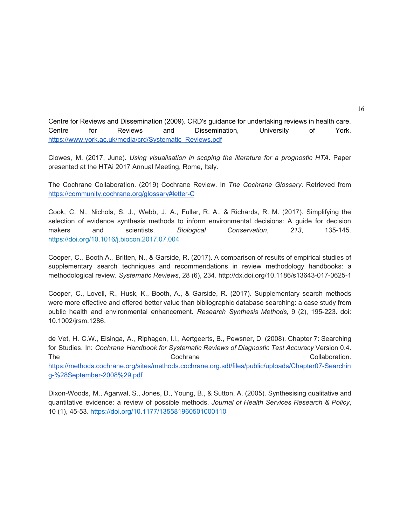Centre for Reviews and Dissemination (2009). CRD's guidance for undertaking reviews in health care. Centre for Reviews and Dissemination, University of York. [https://www.york.ac.uk/media/crd/Systematic\\_Reviews.pdf](https://www.york.ac.uk/media/crd/Systematic_Reviews.pdf)

Clowes, M. (2017, June). *Using visualisation in scoping the literature for a prognostic HTA*. Paper presented at the HTAi 2017 Annual Meeting, Rome, Italy.

The Cochrane Collaboration. (2019) Cochrane Review. In *The Cochrane Glossary* . Retrieved from <https://community.cochrane.org/glossary#letter-C>

Cook, C. N., Nichols, S. J., Webb, J. A., Fuller, R. A., & Richards, R. M . (2017). Simplifying the selection of evidence synthesis methods to inform environmental decisions: A guide for decision makers and scientists. *Biological Conservation*, *213*, 135-145. <https://doi.org/10.1016/j.biocon.2017.07.004>

Cooper, C., Booth,A., Britten, N., & Garside, R. (2017). A comparison of results of empirical studies of supplementary search techniques and recommendations in review methodology handbooks: a methodological review. *Systematic Reviews*, 28 (6), 234. http://dx.doi.org/10.1186/s13643-017-0625-1

Cooper, C., Lovell, R., Husk, K., Booth, A., & Garside, R. (2017). Supplementary search methods were more effective and offered better value than bibliographic database searching: a case study from public health and environmental enhancement. *Research Synthesis Methods* , 9 (2), 195-223. doi: 10.1002/jrsm.1286.

de Vet, H. C.W., Eisinga, A., Riphagen, I.I., Aertgeerts, B., Pewsner, D. (2008). Chapter 7: Searching for Studies. In: *Cochrane Handbook for Systematic Reviews of Diagnostic Test Accuracy* Version 0.4. The Cochrane Cochrane Cochrane Coulaboration. [https://methods.cochrane.org/sites/methods.cochrane.org.sdt/files/public/uploads/Chapter07-Searchin](https://methods.cochrane.org/sites/methods.cochrane.org.sdt/files/public/uploads/Chapter07-Searching-%28September-2008%29.pdf) [g-%28September-2008%29.pdf](https://methods.cochrane.org/sites/methods.cochrane.org.sdt/files/public/uploads/Chapter07-Searching-%28September-2008%29.pdf)

Dixon-Woods, M., Agarwal, S., Jones, D., Young, B., & Sutton, A. (2005). Synthesising qualitative and quantitative evidence: a review of possible methods. *Journal of Health Services Research & Policy* , 10 (1), 45-53. [https://doi.org/10.1177/135581960501000110](https://doi.org/10.1177%2F135581960501000110)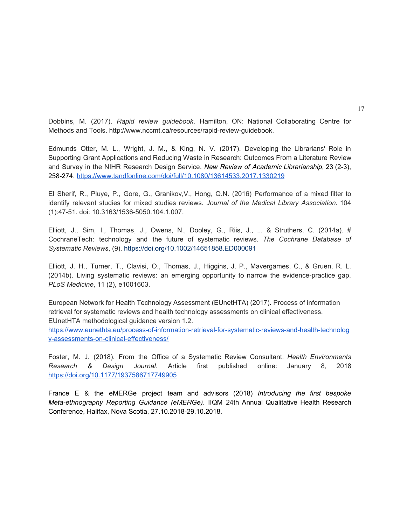Dobbins, M. (2017). *Rapid review guidebook* . Hamilton, ON: National Collaborating Centre for Methods and Tools. http://www.nccmt.ca/resources/rapid-review-guidebook.

Edmunds Otter, M. L., Wright, J. M., & King, N. V. (2017). Developing the Librarians' Role in Supporting Grant Applications and Reducing Waste in Research: Outcomes From a Literature Review and Survey in the NIHR Research Design Service. *New Review of Academic Librarianship* , 23 (2-3), 258-274.<https://www.tandfonline.com/doi/full/10.1080/13614533.2017.1330219>

El Sherif, R., Pluye, P., Gore, G., Granikov,V., Hong, Q.N. (2016) Perform ance of a mixed filter to identify relevant studies for mixed studies reviews. *Journal of the Medical Library Association* . 104 (1):47-51. doi: 10.3163/1536-5050.104.1.007.

Elliott, J., Sim, I., Thomas, J., Owens, N., Dooley, G., Riis, J., ... & Struthers, C. (2014a). # CochraneTech: technology and the future of systematic reviews. *The Cochrane Database of Systematic Reviews*, (9). <https://doi.org/10.1002/14651858.ED000091>

Elliott, J. H., Turner, T., Clavisi, O., Thomas, J., Higgins, J. P., Mavergames, C., & Gruen, R. L. (2014b). Living systematic reviews: an emerging opportunity to narrow the evidence-practice gap. *PLoS Medicine*, 11 (2), e1001603.

European Network for Health Technology Assessment (EUnetHTA) (2017). Process of information retrieval for systematic reviews and health technology assessments on clinical effectiveness. EUnetHTA methodological guidance version 1.2.

[https://www.eunethta.eu/process-of-information-retrieval-for-systematic-reviews-and-health-technolog](https://www.eunethta.eu/process-of-information-retrieval-for-systematic-reviews-and-health-technology-assessments-on-clinical-effectiveness/) [y-assessments-on-clinical-effectiveness/](https://www.eunethta.eu/process-of-information-retrieval-for-systematic-reviews-and-health-technology-assessments-on-clinical-effectiveness/)

Foster, M. J. (2018). From the Office of a Systematic Review Consultant. *Health Environments Research & Design Journal* . Article first published online: January 8, 2018 <https://doi.org/10.1177/1937586717749905>

France E & the eMERGe project team and advisors (2018) *Introducing the first bespoke Meta-ethnography Reporting Guidance (eMERGe)* . IIQM 24th Annual Qualitative Health Research Conference, Halifax, Nova Scotia, 27.10.2018-29.10.2018.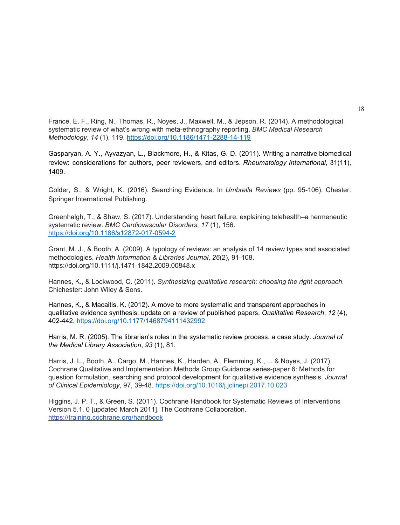France, E. F., Ring, N., Thomas, R., Noyes, J., Maxwell, M., & Jepson, R. (2014). A methodological systematic review of what's wrong with meta-ethnography reporting. *BMC Medical Research Methodology*, *14* (1), 119. <https://doi.org/10.1186/1471-2288-14-119>

Gasparyan, A. Y., Ayvazyan, L., Blackmore, H., & Kitas, G. D. (2011). Writing a narrative biomedical review: considerations for authors, peer reviewers, and editors. *Rheumatology International*, 31(11), 1409.

Golder, S., & Wright, K. (2016). Searching Evidence. In *Umbrella Reviews* (pp. 95-106). Chester: Springer International Publishing.

Greenhalgh, T., & Shaw, S. (2017). Understanding heart failure; explaining telehealth–a hermeneutic systematic review. *BMC Cardiovascular Disorders*, *17* (1), 156. <https://doi.org/10.1186/s12872-017-0594-2>

Grant, M. J., & Booth, A. (2009). A typology of reviews: an analysis of 14 review types and associated methodologies. *Health Information & Libraries Journal*, *26*(2), 91-108. https://doi.org/10.1111/j.1471-1842.2009.00848.x

Hannes, K., & Lockwood, C. (2011). *Synthesizing qualitative research: choosing the right approach*. Chichester: John Wiley & Sons.

Hannes, K., & Macaitis, K. (2012). A move to more systematic and transparent approaches in qualitative evidence synthesis: update on a review of published papers. *Qualitative Research*, *12* (4), 402-442. [https://doi.org/10.1177/1468794111432992](https://doi.org/10.1177%2F1468794111432992) 

Harris, M. R. (2005). The librarian's roles in the systematic review process: a case study. *Journal of the Medical Library Association*, *93* (1), 81.

Harris, J. L., Booth, A., Cargo, M., Hannes, K., Harden, A., Flemming, K., ... & Noyes, J. (2017). Cochrane Qualitative and Implementation Methods Group Guidance series-paper 6: Methods for question formulation, searching and protocol development for qualitative evidence synthesis. *Journal of Clinical Epidemiology*, 97, 39-48. <https://doi.org/10.1016/j.jclinepi.2017.10.023>

Higgins, J. P. T., & Green, S. (2011). Cochrane Handbook for Systematic Reviews of Interventions Version 5.1. 0 [updated March 2011]. The Cochrane Collaboration. <https://training.cochrane.org/handbook>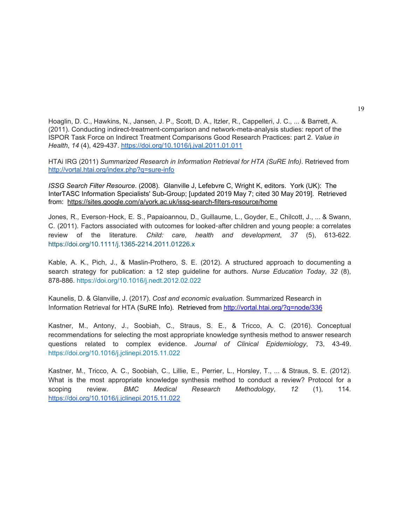Hoaglin, D. C., Hawkins, N., Jansen, J. P., Scott, D. A., Itzler, R., Cappelleri, J. C., ... & Barrett, A. (2011). Conducting indirect-treatment-comparison and network-meta-analysis studies: report of the ISPOR Task Force on Indirect Treatment Comparisons Good Research Practices: part 2. *Value in Health*, *14* (4), 429-437.<https://doi.org/10.1016/j.jval.2011.01.011>

HTAi IRG (2011) *Summarized Research in Information Retrieval for HTA (SuRE Info)*. Retrieved from <http://vortal.htai.org/index.php?q=sure-info>

*ISSG Search Filter Resource*. (2008). Glanville J, Lefebvre C, Wright K, editors. York (UK): The InterTASC Information Specialists' Sub-Group; [updated 2019 May 7; cited 30 May 2019]. Retrieved from: <https://sites.google.com/a/york.ac.uk/issg-search-filters-resource/home>

Jones, R., Everson -Hock, E. S., Papaioannou, D., Guillaume, L., Goyder, E., Chilcott, J., ... & Swann, C. (2011). Factors associated with outcomes for looked -after children and young people: a correlates review of the literature. *Child: care, health and development*, 37 (5), 613-622. <https://doi.org/10.1111/j.1365-2214.2011.01226.x>

Kable, A. K., Pich, J., & Maslin-Prothero, S. E. (2012). A structured approach to documenting a search strategy for publication: a 12 step guideline for authors . *Nurse Education Today* , *32* (8), 878-886.<https://doi.org/10.1016/j.nedt.2012.02.022>

Kaunelis, D. & Glanville, J. (2017). *Cost and economic evaluation*. Summarized Research in Infor[m](http://vortal.htai.org/?q=node/336)ation Retrieval for HTA (SuRE Info). Retrieved from <http://vortal.htai.org/?q=node/336>

Kastner, M., Antony, J., Soobiah, C., Straus, S. E., & Tricco, A. C. (2016). Conceptual recommendations for selecting the most appropriate knowledge synthesis method to answer research questions related to complex evidence. *Journal of Clinical Epidemiology* , 73, 43-49. <https://doi.org/10.1016/j.jclinepi.2015.11.022>

Kastner, M., Tricco, A. C., Soobiah, C., Lillie, E., Perrier, L., Horsley, T., ... & Straus, S. E. (2012). What is the most appropriate knowledge synthesis method to conduct a review? Protocol for a scoping review. *BMC Medical Research Methodology* , *12* (1), 114. <https://doi.org/10.1016/j.jclinepi.2015.11.022>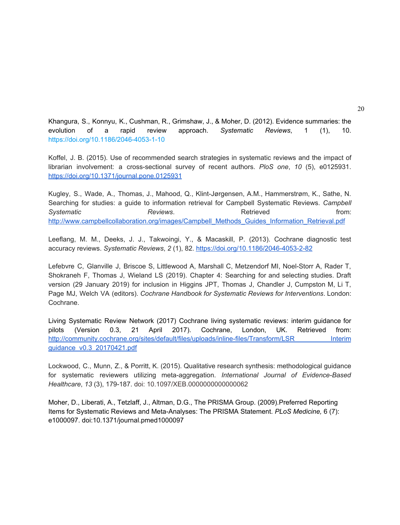Khangura, S., Konnyu, K., Cushman, R., Grimshaw, J., & Moher, D. (2012). Evidence summaries: the evolution of a rapid review approach. *Systematic Reviews*, 1 (1), 10. <https://doi.org/10.1186/2046-4053-1-10>

Koffel, J. B. (2015). Use of recommended search strategies in systematic reviews and the impact of librarian involvement: a cross-sectional survey of recent authors . *PloS one*, *10* (5), e0125931. <https://doi.org/10.1371/journal.pone.0125931>

Kugley, S., Wade, A., Thomas, J., Mahood, Q., Klint-Jørgensen , A.M., Hammerstrøm, K., Sathe, N. Searching for studies: a guide to information retrieval for Campbel l Systematic Reviews. *Campbell Systematic* resolution of *Reviews*. The *Retrieved* from: **Retrieved** from: *Retrieved* from: *Reviews*. [http://www.campbellcollaboration.org/images/Campbell\\_Methods\\_Guides\\_Information\\_Retrieval.pdf](http://www.campbellcollaboration.org/images/Campbell_Methods_Guides_Information_Retrieval.pdf)

Leeflang, M. M., Deeks, J. J., Takwoingi, Y., & Macaskill, P. (2013). Cochrane diagnostic test accuracy reviews. *Systematic Reviews*, *2* (1), 82.<https://doi.org/10.1186/2046-4053-2-82>

Lefebvre C, Glanville J, Briscoe S, Littlewood A, Marshall C, Metzendorf MI, Noel-Storr A, Rader T, Shokraneh F, Thomas J, Wieland LS (2019). Chapter 4: Searching for and selecting studies. Draft version (29 January 2019) for inclusion in Higgins JPT, Thomas J, Chandler J, Cumpston M, Li T, Page MJ, Welch VA (editors). *Cochrane Handbook for Systematic Reviews for Interventions*. London: Cochrane.

Living Systematic Review Network (2017) Cochrane living systematic reviews: interim guidance for pilots (Version 0.3, 21 April 2017). Cochrane, London, UK. Retrieved from: http://community.cochrane.org/sites/default/files/uploads/inline-files/Transform/LSR Interim [guidance\\_v0.3\\_20170421.pdf](http://community.cochrane.org/sites/default/files/uploads/inline-files/Transform/LSR%20Interim%20guidance_v0.3_20170421.pdf)

Lockwood, C., Munn, Z., & Porritt, K. (2015). Qualitative research synthesis: methodological guidance for systematic reviewers utilizing meta-aggregation. *International Journal of Evidence-Based Healthcare*, *13* (3), 179-187. doi: 10.1097/XEB.0000000000000062

Moher, D., Liberati, A., Tetzlaff, J., Altman, D.G., The PRISMA Group. (2009).Preferred Reporting Items for Systematic Reviews and Meta-Analyses: The PRISMA Statement. *PLoS Medicine,* 6 (7): e1000097. doi:10.1371/journal.pmed1000097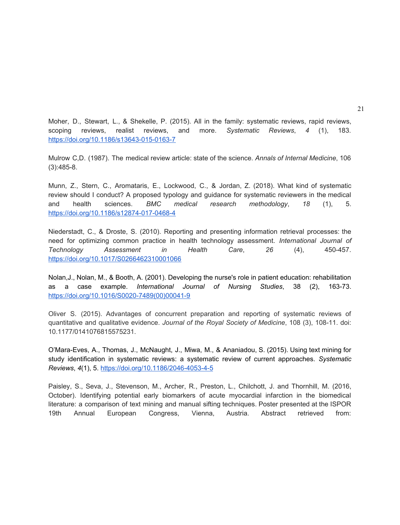Moher, D., Stewart, L., & Shekelle, P. (2015). All in the family: systematic reviews, rapid reviews, scoping reviews, realist reviews, and more. *Systematic Reviews*, *4* (1), 183. <https://doi.org/10.1186/s13643-015-0163-7>

Mulrow C,D. (1987). The medical review article: state of the science. Annals of Internal Medicine, 106 (3):485-8.

Munn, Z., Stern, C., Aromataris, E., Lockwood, C., & Jordan, Z. (2018). What kind of systematic review should I conduct? A proposed typology and guidance for systematic reviewers in the medical and health sciences. *BMC medical research methodology* , *18* (1), 5. <https://doi.org/10.1186/s12874-017-0468-4>

Niederstadt, C., & Droste, S. (2010). Reporting and presenting information retrieval processes: the need for optimizing common practice in health technology assessment. *International Journal of Technology Assessment in Health Care* , *26* (4), 450-457. <https://doi.org/10.1017/S0266462310001066>

Nolan, J., Nolan, M., & Booth, A. (2001). Developing the nurse's role in patient education: rehabilitation as a case example. *International Journal of Nursing Studies* , 38 (2), 163-73. [https://doi.org/10.1016/S0020-7489\(00\)00041-9](https://doi.org/10.1016/S0020-7489(00)00041-9) 

Oliver S. (2015). Advantages of concurrent preparation and reporting of systematic reviews of quantitative and qualitative evidence. *Journal of the Royal Society of Medicine* , 108 (3), 108-11. doi: 10.1177/0141076815575231.

O'Mara-Eves, A., Thomas, J., McNaught, J., Miwa, M., & Ananiadou, S. (2015). Using text mining for study identification in systematic reviews: a systematic review of current approaches. Systematic *Reviews*, *4*(1), 5. <https://doi.org/10.1186/2046-4053-4-5>

Paisley, S., Seva, J., Stevenson, M., Archer, R., Preston, L., Chilchott, J. and Thornhill, M. (2016, October). Identifying potential early biomarkers of acute myocardial infarction in the biomedical literature: a comparison of text mining and manual sifting techniques. Poster presented at the ISPOR 19th Annual European Congress, Vienna, Austria. Abstract retrieved from: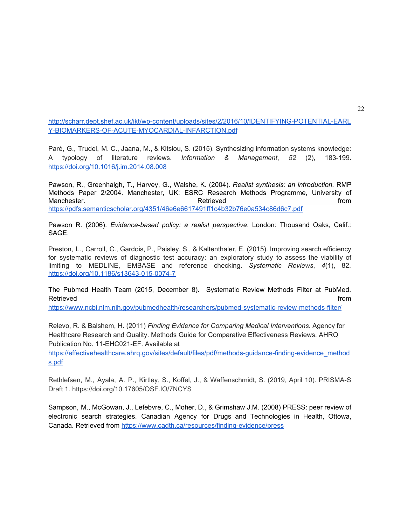[http://scharr.dept.shef.ac.uk/ikt/wp-content/uploads/sites/2/2016/10/IDENTIFYING-POTENTIAL-EARL](http://scharr.dept.shef.ac.uk/ikt/wp-content/uploads/sites/2/2016/10/IDENTIFYING-POTENTIAL-EARLY-BIOMARKERS-OF-ACUTE-MYOCARDIAL-INFARCTION.pdf) [Y-BIOMARKERS-OF-ACUTE-MYOCARDIAL-INFARCTION.pdf](http://scharr.dept.shef.ac.uk/ikt/wp-content/uploads/sites/2/2016/10/IDENTIFYING-POTENTIAL-EARLY-BIOMARKERS-OF-ACUTE-MYOCARDIAL-INFARCTION.pdf) 

Paré, G., Trudel, M. C., Jaana, M., & Kitsiou, S. (2015). Synthesizing information systems knowledge: A typology of literature reviews. *Information & Management* , *52* (2), 183-199. <https://doi.org/10.1016/j.im.2014.08.008>

Pawson, R., Greenhalgh, T., Harvey, G., Walshe, K. (2004). *Realist synthesis: an introduction.* RMP Methods Paper 2/2004. Manchester, UK: ESRC Research Methods Programme, University of Manchester. Retrieved from <https://pdfs.semanticscholar.org/4351/46e6e6617491ff1c4b32b76e0a534c86d6c7.pdf>

Pawson R. (2006). *Evidence-based policy: a realist perspective* . London: Thousand Oaks, Calif.: SAGE.

Preston, L., Carroll, C., Gardois, P., Paisley, S., & Kaltenthaler, E. ( 2015). Improving search efficiency for systematic reviews of diagnostic test accuracy: an exploratory study to assess the viability of limiting to MEDLINE, EMBASE and reference checking. *Systematic Reviews*, *4*(1), 82. <https://doi.org/10.1186/s13643-015-0074-7>

The Pubmed Health Team (2015, December 8). Systematic Review Methods Filter at PubMed. Retrieved **from the contract of the contract of the contract of the contract of the contract of the contract of the contract of the contract of the contract of the contract of the contract of the contract of the contract o** 

<https://www.ncbi.nlm.nih.gov/pubmedhealth/researchers/pubmed-systematic-review-methods-filter/>

Relevo, R. & Balshem, H. (2011) *Finding Evidence for Comparing Medical Interventions*. Agency for Healthcare Research and Quality. Methods Guide for Comparative Effectiveness Reviews. AHRQ Publication No. 11-EHC021-EF. Available at

[https://effectivehealthcare.ahrq.gov/sites/default/files/pdf/methods-guidance-finding-evidence\\_method](https://effectivehealthcare.ahrq.gov/sites/default/files/pdf/methods-guidance-finding-evidence_methods.pdf) [s.pdf](https://effectivehealthcare.ahrq.gov/sites/default/files/pdf/methods-guidance-finding-evidence_methods.pdf)

Rethlefsen, M., Ayala, A. P., Kirtley, S., Koffel, J., & Waffenschmidt, S. (2019, April 10). PRISMA-S Draft 1. https://doi.org/10.17605/OSF.IO/7NCYS

Sampson, M., McGowan, J., Lefebvre, C., Moher, D., & Grimshaw J.M. (2008) PRESS: peer review of electronic search strategies. Canadian Agency for Drugs and Technologies in Health, Ottowa, Canada. Retrieved from<https://www.cadth.ca/resources/finding-evidence/press>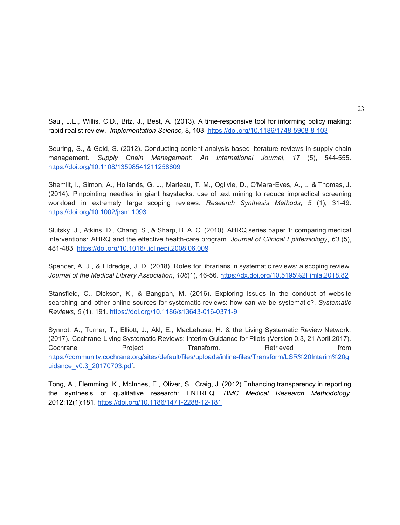Saul, J.E., Willis, C.D., Bitz, J., Best, A. (2013). A time-responsive tool for informing policy making: rapid realist review. *Implementation Science,* 8, 103.<https://doi.org/10.1186/1748-5908-8-103>

Seuring, S., & Gold, S. (2012). Conducting content-analysis based literature reviews in supply chain management. *Supply Chain Management: An International Journal*, 17 (5), 544-555. <https://doi.org/10.1108/13598541211258609>

Shemilt, I., Simon, A., Hollands, G. J., Marteau, T. M., Ogilvie , D., O'Mara-Eves, A., ... & Thomas, J. (2014). Pinpointing needles in giant haystacks: use of text mining to reduce impractical screening workload in extremely large scoping reviews. *Research Synthesis Methods* , *5* (1), 31-49. <https://doi.org/10.1002/jrsm.1093>

Slutsky, J., Atkins, D., Chang, S., & Sharp, B. A. C. (2010). AHRQ series paper 1: comparing medical interventions: AHRQ and the effective health-care program. *Journal of Clinical Epidemiology* , *63* (5), 481-483.<https://doi.org/10.1016/j.jclinepi.2008.06.009>

Spencer, A. J., & Eldredge, J. D. (2018). Roles for librarians in systematic reviews: a scoping review. *Journal of the Medical Library Association*, *106*(1), 46-56. <https://dx.doi.org/10.5195%2Fjmla.2018.82>

Stansfield, C., Dickson, K., & Bangpan, M. (2016). Exploring issues in the conduct of website searching and other online sources for systematic reviews: how can we be systematic?. *Systematic Reviews*, *5* (1), 191. <https://doi.org/10.1186/s13643-016-0371-9>

Synnot, A., Turner, T., Elliott, J., Akl, E., MacLehose, H. & the Living Systematic Review Network. (2017). Cochrane Living Systematic Reviews: Interim Guidance for Pilots (Version 0.3, 21 April 2017). Cochrane **Project** Project **Transform.** Retrieved From [https://community.cochrane.org/sites/default/files/uploads/inline-files/Transform/LSR%20Interim%20g](https://community.cochrane.org/sites/default/files/uploads/inline-files/Transform/LSR%20Interim%20guidance_v0.3_20170703.pdf) [uidance\\_v0.3\\_20170703.pdf](https://community.cochrane.org/sites/default/files/uploads/inline-files/Transform/LSR%20Interim%20guidance_v0.3_20170703.pdf).

Tong, A., Flemming, K., McInnes, E., Oliver, S., Craig, J. (2012) Enhancing transparency in reporting the synthesis of qualitative research: ENTREQ. *BMC Medical Research Methodology* . 2012;12(1):181. <https://doi.org/10.1186/1471-2288-12-181>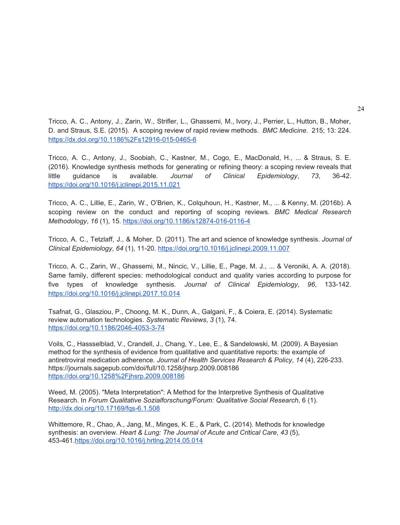Tricco, A. C., Antony, J., Zarin, W., Strifler, L., Ghassemi, M., Ivory, J., Perrier, L., Hutton, B., Moher, D. and Straus, S.E. (2015). A scoping review of rapid review methods. *BMC Medicine*. 215; 13: 224. <https://dx.doi.org/10.1186%2Fs12916-015-0465-6>

Tricco, A. C., Antony, J., Soobiah, C., Kastner, M., Cogo, E., MacDonald, H., ... & Straus, S. E. (2016). Knowledge synthesis methods for generating or refining theory: a scoping review reveals that little guidance is available. *Journal of Clinical Epidemiology* , *73*, 36-42. <https://doi.org/10.1016/j.jclinepi.2015.11.021>

Tricco, A. C., Lillie, E., Zarin, W., O'Brien, K., Colquhoun, H., Kastner, M., ... & Kenny, M. (2016b). A scoping review on the conduct and reporting of scoping reviews. *BMC Medical Research Methodology*, *16* (1), 15.<https://doi.org/10.1186/s12874-016-0116-4>

Tricco, A. C., Tetzlaff, J., & Moher, D. (2011). The art and science of k nowledge synthesis. *Journal of Clinical Epidemiology*, *64* (1), 11-20. <https://doi.org/10.1016/j.jclinepi.2009.11.007>

Tricco, A. C., Zarin, W., Ghassemi, M., Nincic, V., Lillie, E., Page, M. J., ... & Veroniki, A. A. (2018). Same family, different species: methodological conduct and quality varies according to purpose for five types of knowledge synthesis. *Journal of Clinical Epidemiology* , *96*, 133-142. <https://doi.org/10.1016/j.jclinepi.2017.10.014>

Tsafnat, G., Glasziou, P., Choong, M. K., Dunn, A., Galgani, F., & Coiera, E. (2014). Systematic review automation technologies. *Systematic Reviews*, *3* (1), 74. <https://doi.org/10.1186/2046-4053-3-74>

Voils, C., Hassselblad, V., Crandell, J., Chang, Y., Lee, E., & Sandelowski, M. (2009). A Bayesian method for the synthesis of evidence from qualitative and quantitative reports: the example of antiretroviral medication adherence. *Journal of Health Services Research & Policy*, *14* (4), 226-233. https://journals.sagepub.com/doi/full/10.1258/jhsrp.2009.008186 <https://doi.org/10.1258%2Fjhsrp.2009.008186>

Weed, M. (2005). "Meta Interpretation": A Method for the Interpretive Synthesis of Qualitative Research. In *Forum Qualitative Sozialforschung/Forum: Qualitative Social Research*, 6 (1). <http://dx.doi.org/10.17169/fqs-6.1.508>

Whittemore, R., Chao, A., Jang, M., Minges, K. E., & Park, C. (2014). Methods for knowledge synthesis: an overview. *Heart & Lung: The Journal of Acute and Critical Care*, *43* (5), 453-461.<https://doi.org/10.1016/j.hrtlng.2014.05.014>